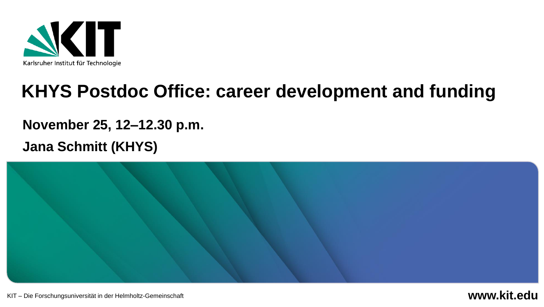

## **KHYS Postdoc Office: career development and funding**

#### **November 25, 12–12.30 p.m.**

#### **Jana Schmitt (KHYS)**



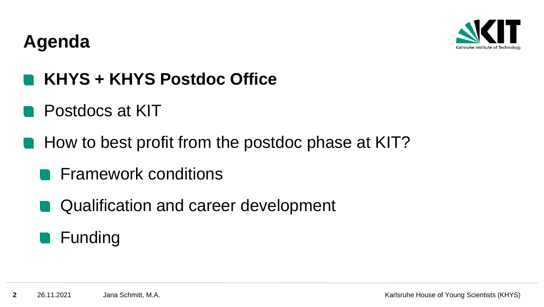

### **Agenda**

### **KHYS + KHYS Postdoc Office**

- Postdocs at KIT
- How to best profit from the postdoc phase at KIT?
	- **Framework conditions**
	- Qualification and career development

### **E** Funding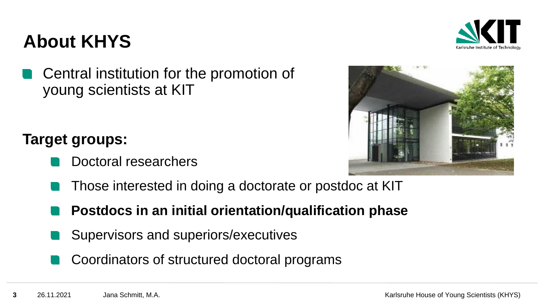### **About KHYS**

Central institution for the promotion of young scientists at KIT

### **Target groups:**

- Doctoral researchers
- Those interested in doing a doctorate or postdoc at KIT
- **Postdocs in an initial orientation/qualification phase**
- Supervisors and superiors/executives
- Coordinators of structured doctoral programs



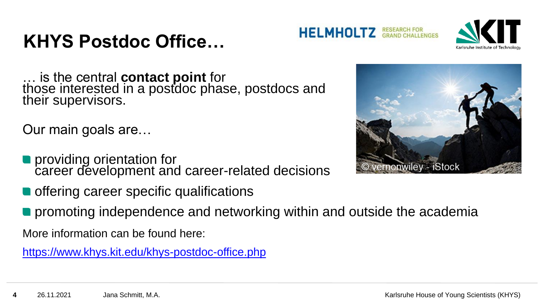## **KHYS Postdoc Office…**



… is the central **contact point** for those interested in a postdoc phase, postdocs and their supervisors.

Our main goals are…

- providing orientation for career development and career-related decisions
- **O** offering career specific qualifications
- **•** promoting independence and networking within and outside the academia

More information can be found here:

<https://www.khys.kit.edu/khys-postdoc-office.php>



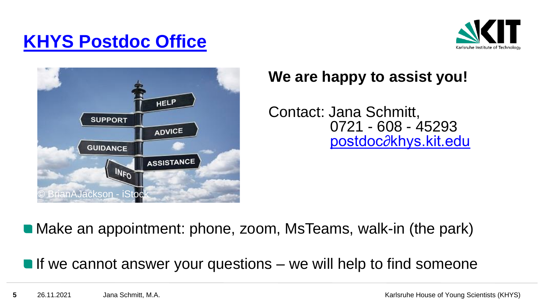### **[KHYS Postdoc Office](https://www.khys.kit.edu/english/khys-postdoc-office.php)**





### **We are happy to assist you!**

Contact: Jana Schmitt, 0721 - 608 - 45293 [postdoc∂khys.kit.edu](mailto:postdoc@khys.kit.edu)

■ Make an appointment: phone, zoom, MsTeams, walk-in (the park)

If we cannot answer your questions  $-$  we will help to find someone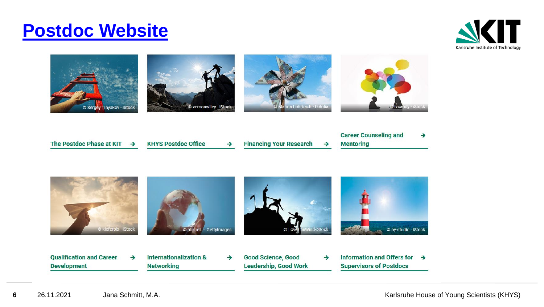### **[Postdoc Website](https://www.khys.kit.edu/english/postdoc-at-kit.php)**





Information and Offers for  $\rightarrow$ **Qualification and Career Internationalization & Good Science, Good**  $\rightarrow$  $\rightarrow$  $\rightarrow$ **Development Networking Leadership, Good Work Supervisors of Postdocs**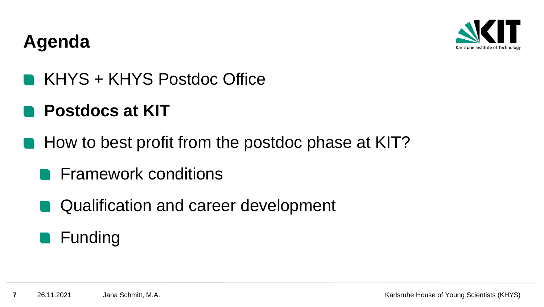

### **Agenda**

KHYS + KHYS Postdoc Office

## **Postdocs at KIT**

- **How to best profit from the postdoc phase at KIT?** 
	- **Framework conditions**
	- Qualification and career development

### **E** Funding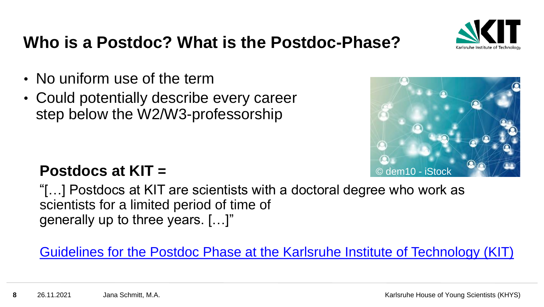

### **Who is a Postdoc? What is the Postdoc-Phase?**

- No uniform use of the term
- Could potentially describe every career step below the W2/W3-professorship



### **Postdocs at KIT =**

"[…] Postdocs at KIT are scientists with a doctoral degree who work as scientists for a limited period of time of generally up to three years. […]"

[Guidelines for the Postdoc Phase at the Karlsruhe Institute of Technology \(KIT\)](https://www.khys.kit.edu/downloads/Sonstige/Guidelines%20for%20the%20postdoc%20phase%20at%20KIT.pdf)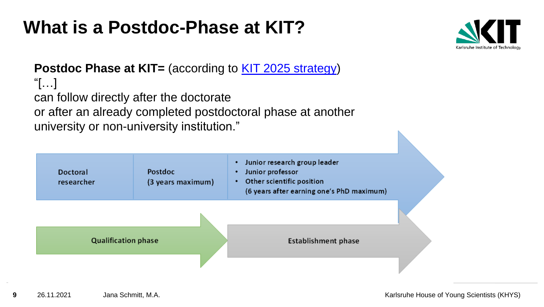## **What is a Postdoc-Phase at KIT?**



#### **Postdoc Phase at KIT=** (according to [KIT 2025 strategy\)](https://intranet.kit.edu/downloads/brochure_kit2025.pdf) "[…] can follow directly after the doctorate or after an already completed postdoctoral phase at another university or non-university institution."

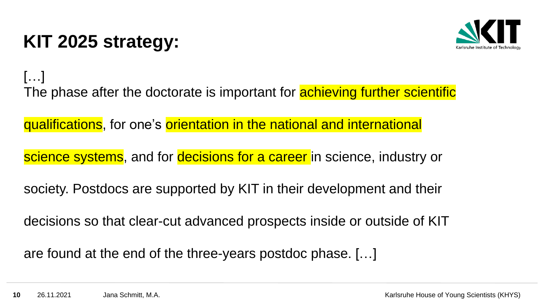## **KIT 2025 strategy:**



[…] The phase after the doctorate is important for **achieving further scientific** 

qualifications, for one's orientation in the national and international

science systems, and for decisions for a career in science, industry or

society. Postdocs are supported by KIT in their development and their

decisions so that clear-cut advanced prospects inside or outside of KIT

are found at the end of the three-years postdoc phase. […]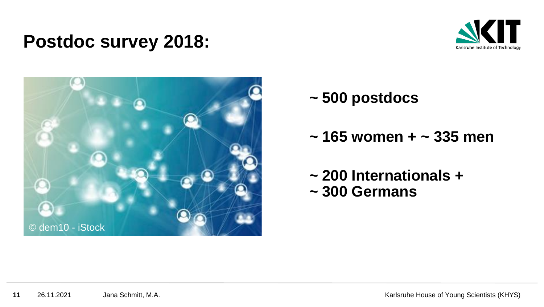### **Postdoc survey 2018:**





- **~ 500 postdocs**
- **~ 165 women + ~ 335 men**
- **~ 200 Internationals + ~ 300 Germans**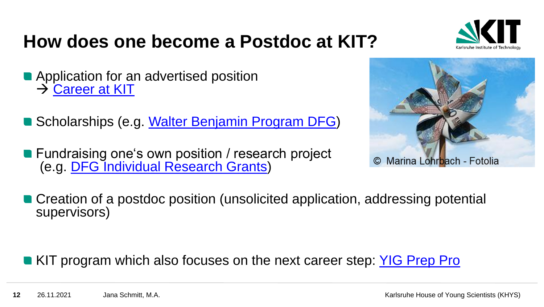### **How does one become a Postdoc at KIT?**

- **Application for an advertised position** → [Career at KIT](https://www.pse.kit.edu/english/karriere/121.php)
- Scholarships (e.g. [Walter Benjamin Program DFG\)](https://www.dfg.de/en/research_funding/programmes/individual/walter_benjamin/index.html)
- **Fundraising one's own position / research project** (e.g. [DFG Individual Research Grants\)](https://www.dfg.de/en/research_funding/programmes/individual/research_grants/)



■ Creation of a postdoc position (unsolicited application, addressing potential supervisors)

KIT program which also focuses on the next career step: [YIG Prep Pro](https://www.kit.edu/research/yig-prep-pro.php)

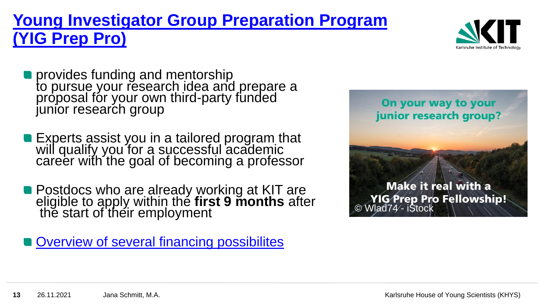### **[Young Investigator Group Preparation Program](https://www.kit.edu/forschen/yig-prep-pro.php) (YIG Prep Pro)**



- provides funding and mentorship to pursue your research idea and prepare a proposal for your own third-party funded junior research group
- Experts assist you in a tailored program that will qualify you for a successful academic career with the goal of becoming a professor
- Postdocs who are already working at KIT are eligible to apply within the **first 9 months** after thĕ start of their employment

**[Overview of several financing possibilites](https://www.khys.kit.edu/english/financing.php)** 

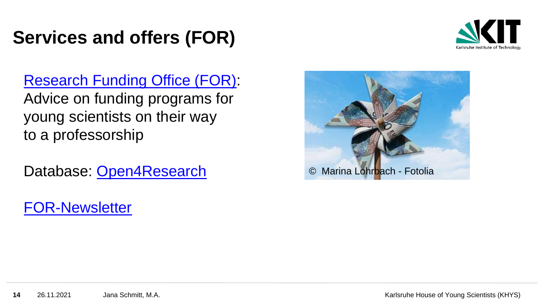## **Services and offers (FOR)**



[Research Funding Office \(FOR\)](http://www.for.kit.edu/int_foerderberatung.php): Advice on funding programs for young scientists on their way to a professorship

Database: [Open4Research](https://www.open4research.eu/kit?bcr=MTIzNA)

© Marina Lohrbach - Fotolia

[FOR-Newsletter](https://www.lists.kit.edu/sympa/subscribe/for-newsletter)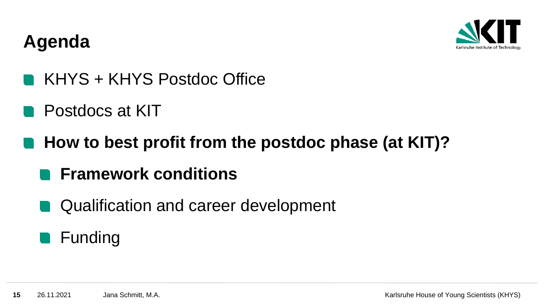

### **Agenda**

- KHYS + KHYS Postdoc Office
- Postdocs at KIT
- **How to best profit from the postdoc phase (at KIT)?**
	- **Framework conditions**
	- Qualification and career development

### **E** Funding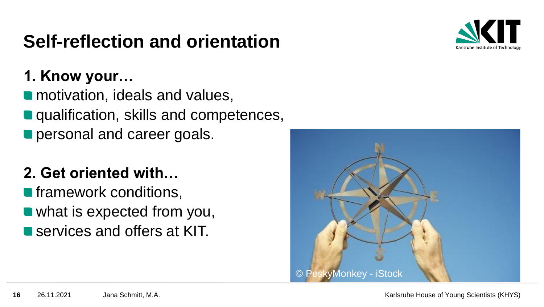## **Self-reflection and orientation**



### **1. Know your…**

**n** motivation, ideals and values, **qualification, skills and competences, personal and career goals.** 

### **2. Get oriented with…**

**n** framework conditions, • what is expected from you, **Services and offers at KIT.** 

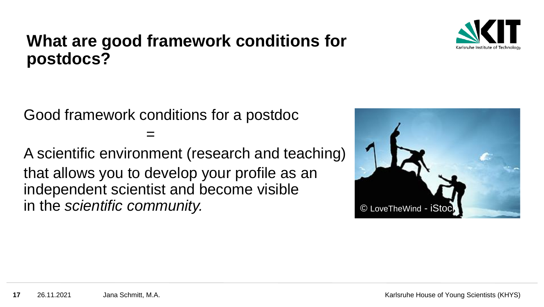

### **What are good framework conditions for postdocs?**

Good framework conditions for a postdoc

=

A scientific environment (research and teaching) that allows you to develop your profile as an independent scientist and become visible in the *scientific community.*



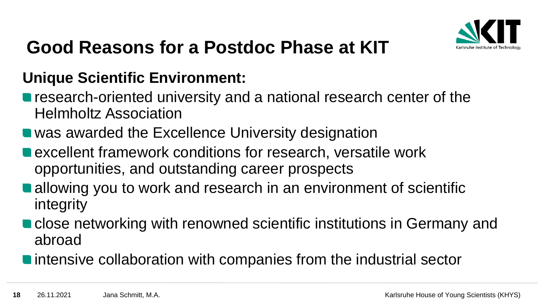

### **Good Reasons for a Postdoc Phase at KIT**

### **Unique Scientific Environment:**

- **n** research-oriented university and a national research center of the Helmholtz Association
- was awarded the Excellence University designation
- excellent framework conditions for research, versatile work opportunities, and outstanding career prospects
- allowing you to work and research in an environment of scientific integrity
- close networking with renowned scientific institutions in Germany and abroad
- **n** intensive collaboration with companies from the industrial sector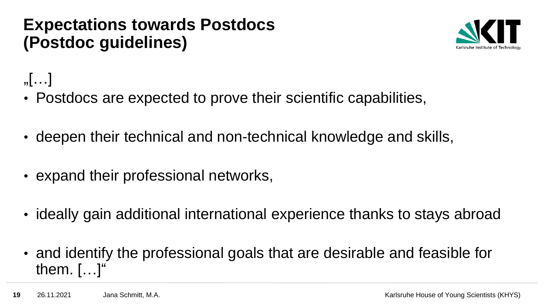### **Expectations towards Postdocs (Postdoc guidelines)**



## $\sqrt{$ …]

- Postdocs are expected to prove their scientific capabilities,
- deepen their technical and non-technical knowledge and skills,
- expand their professional networks,
- ideally gain additional international experience thanks to stays abroad
- and identify the professional goals that are desirable and feasible for them. […]"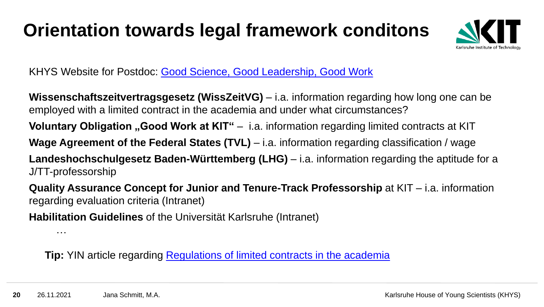## **Orientation towards legal framework conditons**



KHYS Website for Postdoc: [Good Science, Good Leadership, Good Work](https://www.khys.kit.edu/english/good_science_leadership_work.php)

**Wissenschaftszeitvertragsgesetz (WissZeitVG)** – i.a. information regarding how long one can be employed with a limited contract in the academia and under what circumstances?

**Voluntary Obligation "Good Work at KIT"** – i.a. information regarding limited contracts at KIT

**Wage Agreement of the Federal States (TVL)** – i.a. information regarding classification / wage

**Landeshochschulgesetz Baden-Württemberg (LHG)** – i.a. information regarding the aptitude for a J/TT-professorship

**Quality Assurance Concept for Junior and Tenure-Track Professorship** at KIT – i.a. information regarding evaluation criteria (Intranet)

**Habilitation Guidelines** of the Universität Karlsruhe (Intranet)

…

**Tip:** YIN article regarding [Regulations of limited contracts in the academia](http://www.yin.kit.edu/downloads/Regulations_on_temporary_contracts_in_academia.pdf)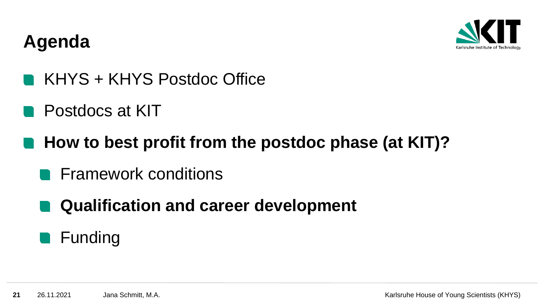

### **Agenda**

- KHYS + KHYS Postdoc Office
- Postdocs at KIT
- **How to best profit from the postdoc phase (at KIT)?**
	- **Framework conditions**
	- **Qualification and career development**

### **E** Funding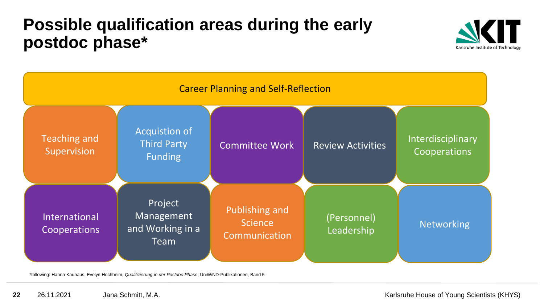### **Possible qualification areas during the early postdoc phase\***





\*following: Hanna Kauhaus, Evelyn Hochheim, *Qualifizierung in der Postdoc-Phase*, UniWiND-Publikationen, Band 5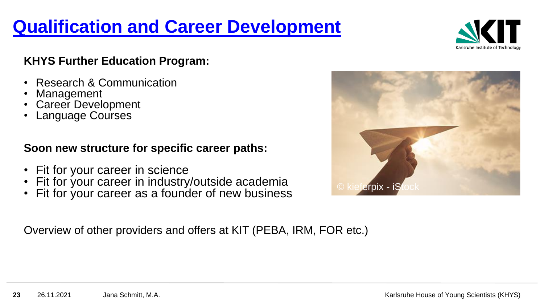## **Qualification [and Career Development](https://www.khys.kit.edu/english/qualification_and_career_development.php)**



#### **KHYS Further Education Program:**

- Research & Communication
- Management
- Career Development
- Language Courses

#### **Soon new structure for specific career paths:**

- Fit for your career in science
- Fit for your career in industry/outside academia
- Fit for your career as a founder of new business

Overview of other providers and offers at KIT (PEBA, IRM, FOR etc.)

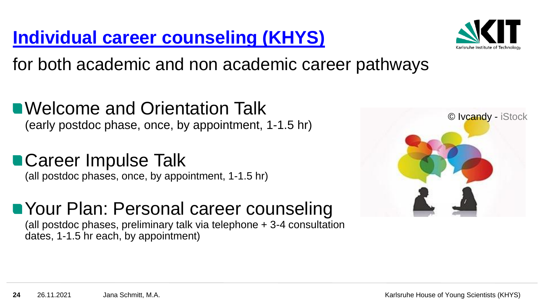### **[Individual career](https://www.khys.kit.edu/english/career_counseling_at_khys.php) counseling (KHYS)**



for both academic and non academic career pathways

■ Welcome and Orientation Talk (early postdoc phase, once, by appointment, 1-1.5 hr)

## **Career Impulse Talk**

(all postdoc phases, once, by appointment, 1-1.5 hr)

### **Nour Plan: Personal career counseling**

(all postdoc phases, preliminary talk via telephone + 3-4 consultation dates, 1-1.5 hr each, by appointment)

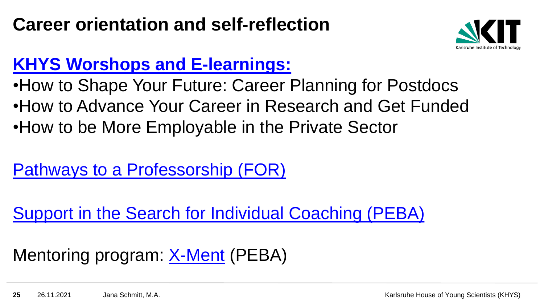### **Career orientation and self-reflection**



### **[KHYS Worshops](https://www.khys.kit.edu/english/khys_qualification_program.php) and E-learnings:**

- •How to Shape Your Future: Career Planning for Postdocs
- •How to Advance Your Career in Research and Get Funded
- •How to be More Employable in the Private Sector

[Pathways to a Professorship \(FOR\)](http://www.for.kit.edu/preise_und_wegezurprofessur.php)

[Support in the Search for Individual Coaching \(PEBA\)](http://www.peba.kit.edu/english/919.php)

### Mentoring program: [X-Ment](http://www.peba.kit.edu/english/1009.php) (PEBA)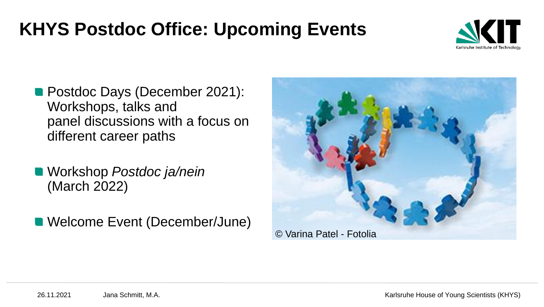## **KHYS Postdoc Office: Upcoming Events**



- **Postdoc Days (December 2021):** Workshops, talks and panel discussions with a focus on different career paths
- Workshop *Postdoc ja/nein* (March 2022)
- Welcome Event (December/June)

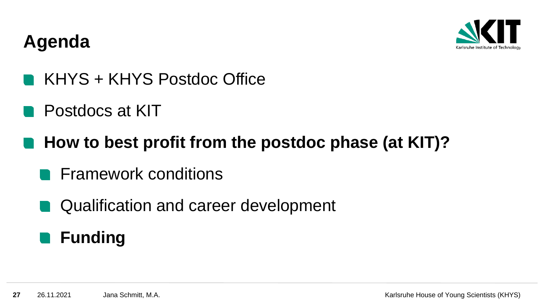

### **Agenda**

- KHYS + KHYS Postdoc Office
- Postdocs at KIT
- **How to best profit from the postdoc phase (at KIT)?**
	- **Framework conditions**
	- Qualification and career development

#### **Funding Contract**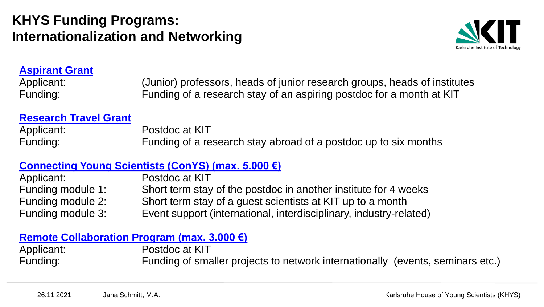#### **KHYS Funding Programs: Internationalization and Networking**



#### **[Aspirant Grant](https://www.khys.kit.edu/aspirant_grant_postdoc.php)**

Applicant: (Junior) professors, heads of junior research groups, heads of institutes Funding: Funding of a research stay of an aspiring postdoc for a month at KIT

#### **[Research Travel Grant](https://www.khys.kit.edu/research_travel_grant.php)**

Applicant: Postdoc at KIT Funding: Funding of a research stay abroad of a postdoc up to six months

#### **Connecting Young Scientists [\(ConYS\) \(max. 5.000 €\)](https://www.khys.kit.edu/english/conys.php)**

Applicant: Postdoc at KIT Funding module 1: Short term stay of the postdoc in another institute for 4 weeks Funding module 2: Short term stay of a guest scientists at KIT up to a month Funding module 3: Event support (international, interdisciplinary, industry-related)

#### **[Remote Collaboration](https://www.khys.kit.edu/remote_collaboration_program_postdoc.php) Program (max. 3.000 €)**

Applicant: Postdoc at KIT Funding: Funding of smaller projects to network internationally (events, seminars etc.)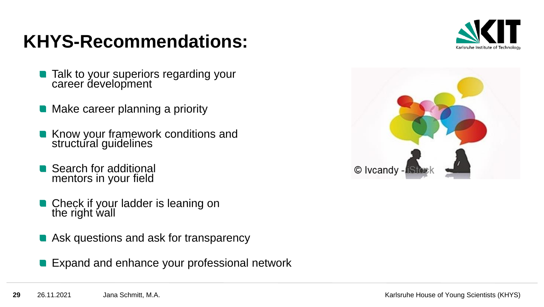## **KHYS-Recommendations:**



- Talk to your superiors regarding your career development
- Make career planning a priority
- Know your framework conditions and structural guidelines
- Search for additional mentors in your field
- Check if your ladder is leaning on the right wall
- Ask questions and ask for transparency
- Expand and enhance your professional network